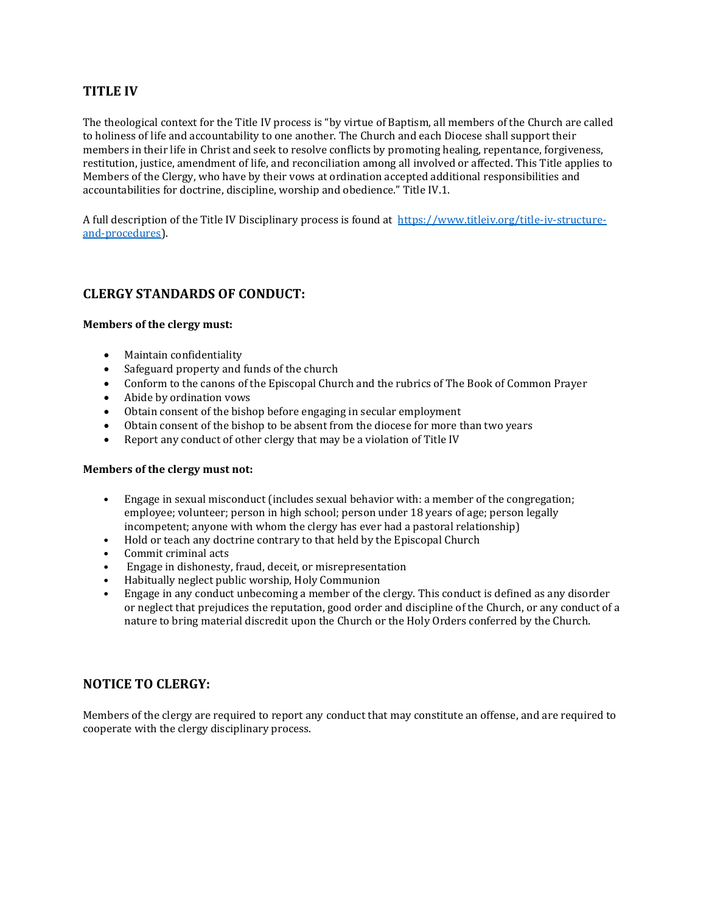## **TITLE IV**

The theological context for the Title IV process is "by virtue of Baptism, all members of the Church are called to holiness of life and accountability to one another. The Church and each Diocese shall support their members in their life in Christ and seek to resolve conflicts by promoting healing, repentance, forgiveness, restitution, justice, amendment of life, and reconciliation among all involved or affected. This Title applies to Members of the Clergy, who have by their vows at ordination accepted additional responsibilities and accountabilities for doctrine, discipline, worship and obedience." Title IV.1.

A full description of the Title IV Disciplinary process is found at https://www.titleiv.org/title-iv-structureand-procedures).

## **CLERGY STANDARDS OF CONDUCT:**

#### **Members of the clergy must:**

- Maintain confidentiality
- Safeguard property and funds of the church
- Conform to the canons of the Episcopal Church and the rubrics of The Book of Common Prayer
- Abide by ordination vows
- Obtain consent of the bishop before engaging in secular employment
- Obtain consent of the bishop to be absent from the diocese for more than two years
- Report any conduct of other clergy that may be a violation of Title IV

#### **Members of the clergy must not:**

- Engage in sexual misconduct (includes sexual behavior with: a member of the congregation; employee; volunteer; person in high school; person under 18 years of age; person legally incompetent; anyone with whom the clergy has ever had a pastoral relationship)
- Hold or teach any doctrine contrary to that held by the Episcopal Church
- Commit criminal acts
- Engage in dishonesty, fraud, deceit, or misrepresentation
- Habitually neglect public worship, Holy Communion
- Engage in any conduct unbecoming a member of the clergy. This conduct is defined as any disorder or neglect that prejudices the reputation, good order and discipline of the Church, or any conduct of a nature to bring material discredit upon the Church or the Holy Orders conferred by the Church.

## **NOTICE TO CLERGY:**

Members of the clergy are required to report any conduct that may constitute an offense, and are required to cooperate with the clergy disciplinary process.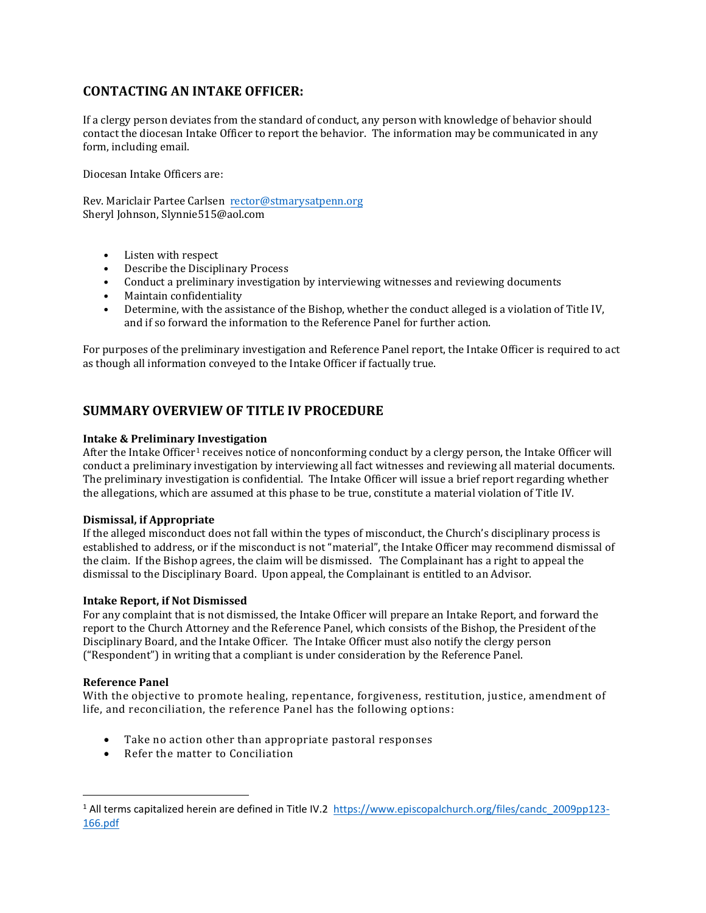# **CONTACTING AN INTAKE OFFICER:**

If a clergy person deviates from the standard of conduct, any person with knowledge of behavior should contact the diocesan Intake Officer to report the behavior. The information may be communicated in any form, including email.

Diocesan Intake Officers are:

Rev. Mariclair Partee Carlsen rector@stmarysatpenn.org Sheryl Johnson, Slynnie515@aol.com

- Listen with respect
- Describe the Disciplinary Process
- Conduct a preliminary investigation by interviewing witnesses and reviewing documents
- Maintain confidentiality
- Determine, with the assistance of the Bishop, whether the conduct alleged is a violation of Title IV, and if so forward the information to the Reference Panel for further action.

For purposes of the preliminary investigation and Reference Panel report, the Intake Officer is required to act as though all information conveyed to the Intake Officer if factually true.

# **SUMMARY OVERVIEW OF TITLE IV PROCEDURE**

### **Intake & Preliminary Investigation**

After the Intake Officer<sup>1</sup> receives notice of nonconforming conduct by a clergy person, the Intake Officer will conduct a preliminary investigation by interviewing all fact witnesses and reviewing all material documents. The preliminary investigation is confidential.The Intake Officer will issue a brief report regarding whether the allegations, which are assumed at this phase to be true, constitute a material violation of Title IV.

### **Dismissal, if Appropriate**

If the alleged misconduct does not fall within the types of misconduct, the Church's disciplinary process is established to address, or if the misconduct is not "material", the Intake Officer may recommend dismissal of the claim. If the Bishop agrees, the claim will be dismissed. The Complainant has a right to appeal the dismissal to the Disciplinary Board. Upon appeal, the Complainant is entitled to an Advisor.

### **Intake Report, if Not Dismissed**

For any complaint that is not dismissed, the Intake Officer will prepare an Intake Report, and forward the report to the Church Attorney and the Reference Panel, which consists of the Bishop, the President of the Disciplinary Board, and the Intake Officer. The Intake Officer must also notify the clergy person ("Respondent") in writing that a compliant is under consideration by the Reference Panel.

### **Reference Panel**

With the objective to promote healing, repentance, forgiveness, restitution, justice, amendment of life, and reconciliation, the reference Panel has the following options:

- Take no action other than appropriate pastoral responses
- Refer the matter to Conciliation

<sup>1</sup> All terms capitalized herein are defined in Title IV.2 https://www.episcopalchurch.org/files/candc\_2009pp123- 166.pdf